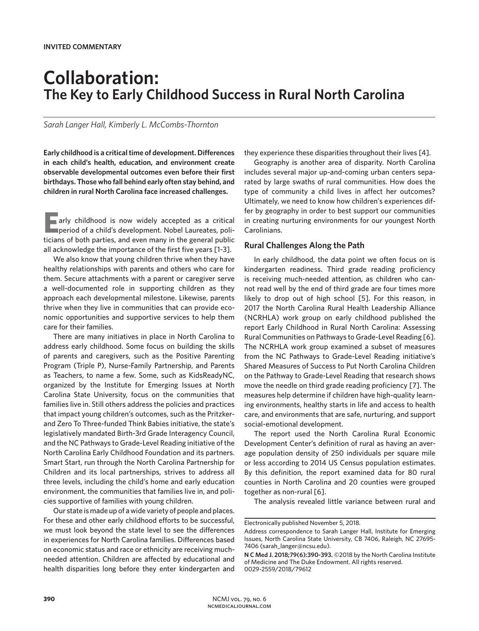# **Collaboration: The Key to Early Childhood Success in Rural North Carolina**

*Sarah Langer Hall, Kimberly L. McCombs-Thornton*

**Early childhood is a critical time of development. Differences in each child's health, education, and environment create observable developmental outcomes even before their first birthdays. Those who fall behind early often stay behind, and children in rural North Carolina face increased challenges.** 

**Early childhood is now widely accepted as a critical period of a child's development. Nobel Laureates, poli**ticians of both parties, and even many in the general public all acknowledge the importance of the first five years [1-3].

We also know that young children thrive when they have healthy relationships with parents and others who care for them. Secure attachments with a parent or caregiver serve a well-documented role in supporting children as they approach each developmental milestone. Likewise, parents thrive when they live in communities that can provide economic opportunities and supportive services to help them care for their families.

There are many initiatives in place in North Carolina to address early childhood. Some focus on building the skills of parents and caregivers, such as the Positive Parenting Program (Triple P), Nurse-Family Partnership, and Parents as Teachers, to name a few. Some, such as KidsReadyNC, organized by the Institute for Emerging Issues at North Carolina State University, focus on the communities that families live in. Still others address the policies and practices that impact young children's outcomes, such as the Pritzkerand Zero To Three-funded Think Babies initiative, the state's legislatively mandated Birth-3rd Grade Interagency Council, and the NC Pathways to Grade-Level Reading initiative of the North Carolina Early Childhood Foundation and its partners. Smart Start, run through the North Carolina Partnership for Children and its local partnerships, strives to address all three levels, including the child's home and early education environment, the communities that families live in, and policies supportive of families with young children.

Our state is made up of a wide variety of people and places. For these and other early childhood efforts to be successful, we must look beyond the state level to see the differences in experiences for North Carolina families. Differences based on economic status and race or ethnicity are receiving muchneeded attention. Children are affected by educational and health disparities long before they enter kindergarten and

they experience these disparities throughout their lives [4].

Geography is another area of disparity. North Carolina includes several major up-and-coming urban centers separated by large swaths of rural communities. How does the type of community a child lives in affect her outcomes? Ultimately, we need to know how children's experiences differ by geography in order to best support our communities in creating nurturing environments for our youngest North Carolinians.

## **Rural Challenges Along the Path**

In early childhood, the data point we often focus on is kindergarten readiness. Third grade reading proficiency is receiving much-needed attention, as children who cannot read well by the end of third grade are four times more likely to drop out of high school [5]. For this reason, in 2017 the North Carolina Rural Health Leadership Alliance (NCRHLA) work group on early childhood published the report Early Childhood in Rural North Carolina: Assessing Rural Communities on Pathways to Grade-Level Reading [6]. The NCRHLA work group examined a subset of measures from the NC Pathways to Grade-Level Reading initiative's Shared Measures of Success to Put North Carolina Children on the Pathway to Grade-Level Reading that research shows move the needle on third grade reading proficiency [7]. The measures help determine if children have high-quality learning environments, healthy starts in life and access to health care, and environments that are safe, nurturing, and support social-emotional development.

The report used the North Carolina Rural Economic Development Center's definition of rural as having an average population density of 250 individuals per square mile or less according to 2014 US Census population estimates. By this definition, the report examined data for 80 rural counties in North Carolina and 20 counties were grouped together as non-rural [6].

The analysis revealed little variance between rural and

Electronically published November 5, 2018.

Address correspondence to Sarah Langer Hall, Institute for Emerging Issues, North Carolina State University, CB 7406, Raleigh, NC 27695- 7406 (sarah\_langer@ncsu.edu).

**N C Med J. 2018;79(6):390-393.** ©2018 by the North Carolina Institute of Medicine and The Duke Endowment. All rights reserved. 0029-2559/2018/79612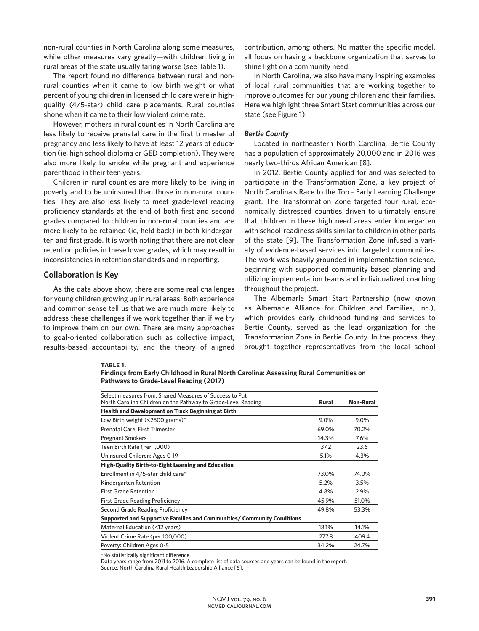non-rural counties in North Carolina along some measures, while other measures vary greatly—with children living in rural areas of the state usually faring worse (see Table 1).

The report found no difference between rural and nonrural counties when it came to low birth weight or what percent of young children in licensed child care were in highquality (4/5-star) child care placements. Rural counties shone when it came to their low violent crime rate.

However, mothers in rural counties in North Carolina are less likely to receive prenatal care in the first trimester of pregnancy and less likely to have at least 12 years of education (ie, high school diploma or GED completion). They were also more likely to smoke while pregnant and experience parenthood in their teen years.

Children in rural counties are more likely to be living in poverty and to be uninsured than those in non-rural counties. They are also less likely to meet grade-level reading proficiency standards at the end of both first and second grades compared to children in non-rural counties and are more likely to be retained (ie, held back) in both kindergarten and first grade. It is worth noting that there are not clear retention policies in these lower grades, which may result in inconsistencies in retention standards and in reporting.

#### **Collaboration is Key**

As the data above show, there are some real challenges for young children growing up in rural areas. Both experience and common sense tell us that we are much more likely to address these challenges if we work together than if we try to improve them on our own. There are many approaches to goal-oriented collaboration such as collective impact, results-based accountability, and the theory of aligned

contribution, among others. No matter the specific model, all focus on having a backbone organization that serves to shine light on a community need.

In North Carolina, we also have many inspiring examples of local rural communities that are working together to improve outcomes for our young children and their families. Here we highlight three Smart Start communities across our state (see Figure 1).

#### *Bertie County*

Located in northeastern North Carolina, Bertie County has a population of approximately 20,000 and in 2016 was nearly two-thirds African American [8].

In 2012, Bertie County applied for and was selected to participate in the Transformation Zone, a key project of North Carolina's Race to the Top - Early Learning Challenge grant. The Transformation Zone targeted four rural, economically distressed counties driven to ultimately ensure that children in these high need areas enter kindergarten with school-readiness skills similar to children in other parts of the state [9]. The Transformation Zone infused a variety of evidence-based services into targeted communities. The work was heavily grounded in implementation science, beginning with supported community based planning and utilizing implementation teams and individualized coaching throughout the project.

The Albemarle Smart Start Partnership (now known as Albemarle Alliance for Children and Families, Inc.), which provides early childhood funding and services to Bertie County, served as the lead organization for the Transformation Zone in Bertie County. In the process, they brought together representatives from the local school

| Select measures from: Shared Measures of Success to Put<br>North Carolina Children on the Pathway to Grade-Level Reading | <b>Rural</b> | <b>Non-Rural</b> |
|--------------------------------------------------------------------------------------------------------------------------|--------------|------------------|
| <b>Health and Development on Track Beginning at Birth</b>                                                                |              |                  |
| Low Birth weight (<2500 grams)*                                                                                          | 9.0%         | 9.0%             |
| Prenatal Care, First Trimester                                                                                           | 69.0%        | 70.2%            |
| <b>Pregnant Smokers</b>                                                                                                  | 14.3%        | 7.6%             |
| Teen Birth Rate (Per 1,000)                                                                                              | 37.2         | 23.6             |
| Uninsured Children: Ages 0-19                                                                                            | 5.1%         | 4.3%             |
| <b>High-Quality Birth-to-Eight Learning and Education</b>                                                                |              |                  |
| Enrollment in 4/5-star child care*                                                                                       | 73.0%        | 74.0%            |
| Kindergarten Retention                                                                                                   | 5.2%         | 3.5%             |
| <b>First Grade Retention</b>                                                                                             | 4.8%         | 2.9%             |
| <b>First Grade Reading Proficiency</b>                                                                                   | 45.9%        | 51.0%            |
| Second Grade Reading Proficiency                                                                                         | 49.8%        | 53.3%            |
| Supported and Supportive Families and Communities/ Community Conditions                                                  |              |                  |
| Maternal Education (<12 years)                                                                                           | 18.1%        | 14.1%            |
| Violent Crime Rate (per 100,000)                                                                                         | 277.8        | 409.4            |
| Poverty: Children Ages 0-5                                                                                               | 34.2%        | 24.7%            |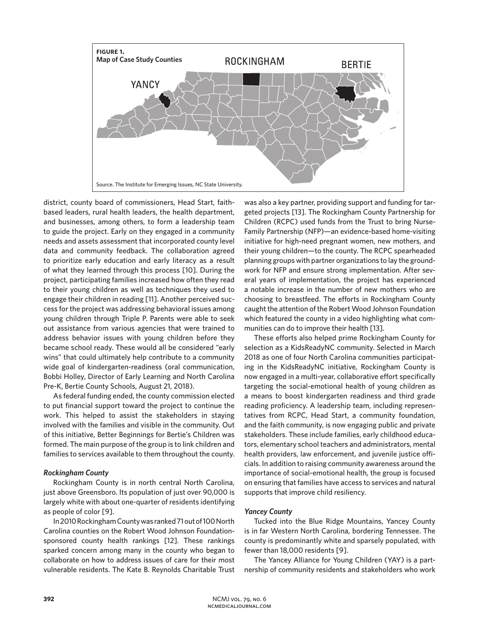

district, county board of commissioners, Head Start, faithbased leaders, rural health leaders, the health department, and businesses, among others, to form a leadership team to guide the project. Early on they engaged in a community needs and assets assessment that incorporated county level data and community feedback. The collaboration agreed to prioritize early education and early literacy as a result of what they learned through this process [10]. During the project, participating families increased how often they read to their young children as well as techniques they used to engage their children in reading [11]. Another perceived success for the project was addressing behavioral issues among young children through Triple P. Parents were able to seek out assistance from various agencies that were trained to address behavior issues with young children before they became school ready. These would all be considered "early wins" that could ultimately help contribute to a community wide goal of kindergarten-readiness (oral communication, Bobbi Holley, Director of Early Learning and North Carolina Pre-K, Bertie County Schools, August 21, 2018).

As federal funding ended, the county commission elected to put financial support toward the project to continue the work. This helped to assist the stakeholders in staying involved with the families and visible in the community. Out of this initiative, Better Beginnings for Bertie's Children was formed. The main purpose of the group is to link children and families to services available to them throughout the county.

## *Rockingham County*

Rockingham County is in north central North Carolina, just above Greensboro. Its population of just over 90,000 is largely white with about one-quarter of residents identifying as people of color [9].

In 2010 Rockingham County was ranked 71 out of 100 North Carolina counties on the Robert Wood Johnson Foundationsponsored county health rankings [12]. These rankings sparked concern among many in the county who began to collaborate on how to address issues of care for their most vulnerable residents. The Kate B. Reynolds Charitable Trust was also a key partner, providing support and funding for targeted projects [13]. The Rockingham County Partnership for Children (RCPC) used funds from the Trust to bring Nurse-Family Partnership (NFP)—an evidence-based home-visiting initiative for high-need pregnant women, new mothers, and their young children—to the county. The RCPC spearheaded planning groups with partner organizations to lay the groundwork for NFP and ensure strong implementation. After several years of implementation, the project has experienced a notable increase in the number of new mothers who are choosing to breastfeed. The efforts in Rockingham County caught the attention of the Robert Wood Johnson Foundation which featured the county in a video highlighting what communities can do to improve their health [13].

These efforts also helped prime Rockingham County for selection as a KidsReadyNC community. Selected in March 2018 as one of four North Carolina communities participating in the KidsReadyNC initiative, Rockingham County is now engaged in a multi-year, collaborative effort specifically targeting the social-emotional health of young children as a means to boost kindergarten readiness and third grade reading proficiency. A leadership team, including representatives from RCPC, Head Start, a community foundation, and the faith community, is now engaging public and private stakeholders. These include families, early childhood educators, elementary school teachers and administrators, mental health providers, law enforcement, and juvenile justice officials. In addition to raising community awareness around the importance of social-emotional health, the group is focused on ensuring that families have access to services and natural supports that improve child resiliency.

## *Yancey County*

Tucked into the Blue Ridge Mountains, Yancey County is in far Western North Carolina, bordering Tennessee. The county is predominantly white and sparsely populated, with fewer than 18,000 residents [9].

The Yancey Alliance for Young Children (YAY) is a partnership of community residents and stakeholders who work